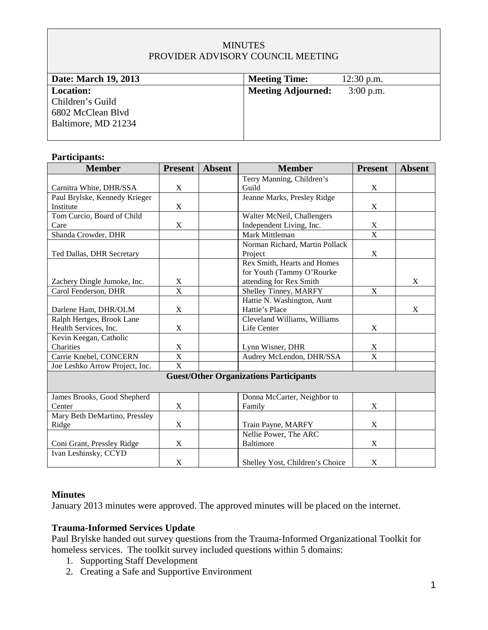## **MINUTES** PROVIDER ADVISORY COUNCIL MEETING

| Date: March 19, 2013                                                             | <b>Meeting Time:</b>      | $12:30$ p.m. |
|----------------------------------------------------------------------------------|---------------------------|--------------|
| <b>Location:</b><br>Children's Guild<br>6802 McClean Blvd<br>Baltimore, MD 21234 | <b>Meeting Adjourned:</b> | $3:00$ p.m.  |

#### **Participants:**

| <b>Member</b>                                 | <b>Present</b> | <b>Absent</b> | <b>Member</b>                   | <b>Present</b>          | <b>Absent</b> |  |
|-----------------------------------------------|----------------|---------------|---------------------------------|-------------------------|---------------|--|
|                                               |                |               | Terry Manning, Children's       |                         |               |  |
| Carnitra White, DHR/SSA                       | $\mathbf X$    |               | Guild                           | X                       |               |  |
| Paul Brylske, Kennedy Krieger                 |                |               | Jeanne Marks, Presley Ridge     |                         |               |  |
| Institute                                     | $\mathbf X$    |               |                                 | $\mathbf X$             |               |  |
| Tom Curcio, Board of Child                    |                |               | Walter McNeil, Challengers      |                         |               |  |
| Care                                          | X              |               | Independent Living, Inc.        | X                       |               |  |
| Shanda Crowder, DHR                           |                |               | <b>Mark Mittleman</b>           | $\overline{\mathbf{X}}$ |               |  |
|                                               |                |               | Norman Richard, Martin Pollack  |                         |               |  |
| Ted Dallas, DHR Secretary                     |                |               | Project                         | X                       |               |  |
|                                               |                |               | Rex Smith, Hearts and Homes     |                         |               |  |
|                                               |                |               | for Youth (Tammy O'Rourke       |                         |               |  |
| Zachery Dingle Jumoke, Inc.                   | X              |               | attending for Rex Smith         |                         | X             |  |
| Carol Fenderson, DHR                          | $\mathbf X$    |               | Shelley Tinney, MARFY           | $\mathbf X$             |               |  |
|                                               |                |               | Hattie N. Washington, Aunt      |                         |               |  |
| Darlene Ham, DHR/OLM                          | $\mathbf X$    |               | Hattie's Place                  |                         | X             |  |
| Ralph Hertges, Brook Lane                     |                |               | Cleveland Williams, Williams    |                         |               |  |
| Health Services, Inc.                         | $\mathbf X$    |               | Life Center                     | X                       |               |  |
| Kevin Keegan, Catholic                        |                |               |                                 |                         |               |  |
| Charities                                     | $\mathbf X$    |               | Lynn Wisner, DHR                | X                       |               |  |
| Carrie Knebel, CONCERN                        | $\overline{X}$ |               | Audrey McLendon, DHR/SSA        | $\overline{\mathbf{X}}$ |               |  |
| Joe Leshko Arrow Project, Inc.                | $\overline{X}$ |               |                                 |                         |               |  |
| <b>Guest/Other Organizations Participants</b> |                |               |                                 |                         |               |  |
|                                               |                |               |                                 |                         |               |  |
| James Brooks, Good Shepherd                   |                |               | Donna McCarter, Neighbor to     |                         |               |  |
| Center                                        | $\mathbf X$    |               | Family                          | X                       |               |  |
| Mary Beth DeMartino, Pressley                 |                |               |                                 |                         |               |  |
| Ridge                                         | X              |               | Train Payne, MARFY              | X                       |               |  |
|                                               |                |               | Nellie Power, The ARC           |                         |               |  |
| Coni Grant, Pressley Ridge                    | X              |               | <b>Baltimore</b>                | X                       |               |  |
| Ivan Leshinsky, CCYD                          |                |               |                                 |                         |               |  |
|                                               | $\mathbf X$    |               | Shelley Yost, Children's Choice | X                       |               |  |

### **Minutes**

January 2013 minutes were approved. The approved minutes will be placed on the internet.

#### **Trauma-Informed Services Update**

Paul Brylske handed out survey questions from the Trauma-Informed Organizational Toolkit for homeless services. The toolkit survey included questions within 5 domains:

- 1. Supporting Staff Development
- 2. Creating a Safe and Supportive Environment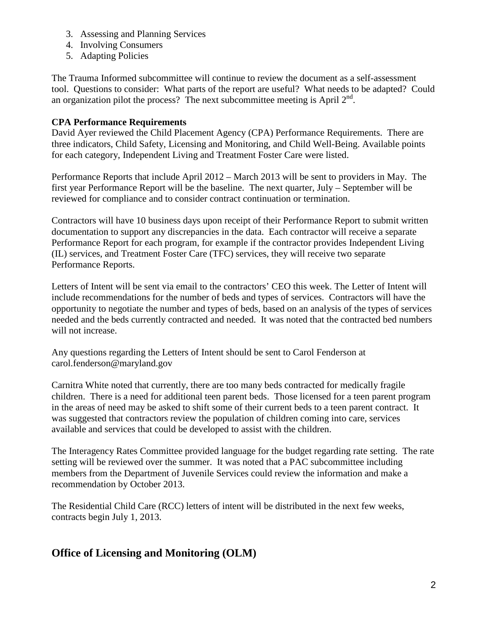- 3. Assessing and Planning Services
- 4. Involving Consumers
- 5. Adapting Policies

The Trauma Informed subcommittee will continue to review the document as a self-assessment tool. Questions to consider: What parts of the report are useful? What needs to be adapted? Could an organization pilot the process? The next subcommittee meeting is April  $2<sup>nd</sup>$ .

## **CPA Performance Requirements**

David Ayer reviewed the Child Placement Agency (CPA) Performance Requirements. There are three indicators, Child Safety, Licensing and Monitoring, and Child Well-Being. Available points for each category, Independent Living and Treatment Foster Care were listed.

Performance Reports that include April 2012 – March 2013 will be sent to providers in May. The first year Performance Report will be the baseline. The next quarter, July – September will be reviewed for compliance and to consider contract continuation or termination.

Contractors will have 10 business days upon receipt of their Performance Report to submit written documentation to support any discrepancies in the data. Each contractor will receive a separate Performance Report for each program, for example if the contractor provides Independent Living (IL) services, and Treatment Foster Care (TFC) services, they will receive two separate Performance Reports.

Letters of Intent will be sent via email to the contractors' CEO this week. The Letter of Intent will include recommendations for the number of beds and types of services. Contractors will have the opportunity to negotiate the number and types of beds, based on an analysis of the types of services needed and the beds currently contracted and needed. It was noted that the contracted bed numbers will not increase.

Any questions regarding the Letters of Intent should be sent to Carol Fenderson at [carol.fenderson@m](mailto:carol.fenderson@)aryland.gov

Carnitra White noted that currently, there are too many beds contracted for medically fragile children. There is a need for additional teen parent beds. Those licensed for a teen parent program in the areas of need may be asked to shift some of their current beds to a teen parent contract. It was suggested that contractors review the population of children coming into care, services available and services that could be developed to assist with the children.

The Interagency Rates Committee provided language for the budget regarding rate setting. The rate setting will be reviewed over the summer. It was noted that a PAC subcommittee including members from the Department of Juvenile Services could review the information and make a recommendation by October 2013.

The Residential Child Care (RCC) letters of intent will be distributed in the next few weeks, contracts begin July 1, 2013.

# **Office of Licensing and Monitoring (OLM)**